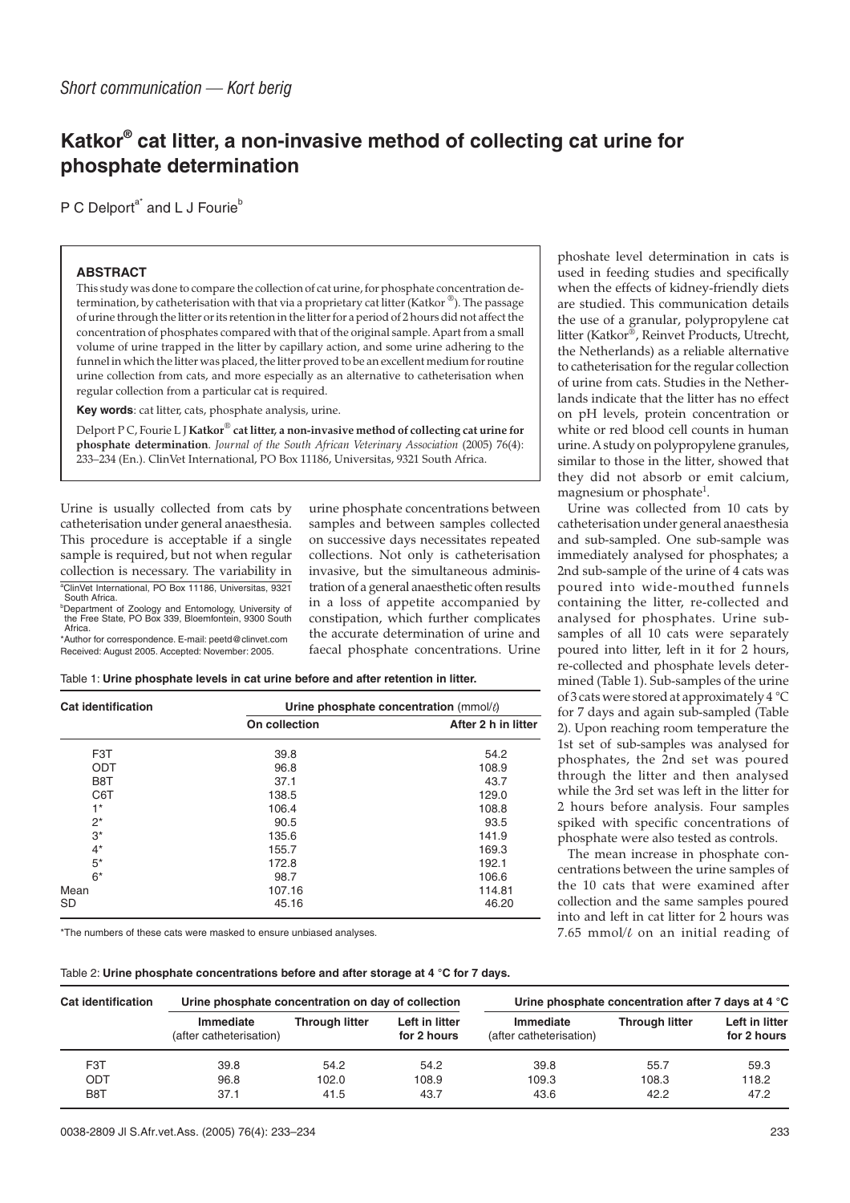## **Katkor® cat litter, a non-invasive method of collecting cat urine for phosphate determination**

P C Delport<sup>a\*</sup> and L J Fourie<sup>b</sup>

## **ABSTRACT**

This study was done to compare the collection of cat urine, for phosphate concentration determination, by catheterisation with that via a proprietary cat litter (Katkor ®). The passage of urine through the litter or its retention in the litter for a period of 2 hours did not affect the concentration of phosphates compared with that of the original sample. Apart from a small volume of urine trapped in the litter by capillary action, and some urine adhering to the funnel in which the litter was placed, the litter proved to be an excellent medium for routine urine collection from cats, and more especially as an alternative to catheterisation when regular collection from a particular cat is required.

**Key words**: cat litter, cats, phosphate analysis, urine.

Delport P C, Fourie L J **Katkor**® **cat litter, a non-invasive method of collecting cat urine for phosphate determination**. *Journal of the South African Veterinary Association* (2005) 76(4): 233–234 (En.). ClinVet International, PO Box 11186, Universitas, 9321 South Africa.

Urine is usually collected from cats by catheterisation under general anaesthesia. This procedure is acceptable if a single sample is required, but not when regular collection is necessary. The variability in a ClinVet International, PO Box 11186, Universitas, 9321 South Africa.

b Department of Zoology and Entomology, University of the Free State, PO Box 339, Bloemfontein, 9300 South

Africa. \*Author for correspondence. E-mail: peetd@clinvet.com Received: August 2005. Accepted: November: 2005.

Table 1: **Urine phosphate levels in cat urine before and after retention in litter.**

| <b>Cat identification</b> | Urine phosphate concentration (mmol/ $\ell$ ) |                     |  |  |
|---------------------------|-----------------------------------------------|---------------------|--|--|
|                           | On collection                                 | After 2 h in litter |  |  |
| F <sub>3</sub> T          | 39.8                                          | 54.2                |  |  |
| ODT                       | 96.8                                          | 108.9               |  |  |
| B <sub>8</sub> T          | 37.1                                          | 43.7                |  |  |
| C6T                       | 138.5                                         | 129.0               |  |  |
| $1^*$                     | 106.4                                         | 108.8               |  |  |
| $2^*$                     | 90.5                                          | 93.5                |  |  |
| $3^*$                     | 135.6                                         | 141.9               |  |  |
| $4^*$                     | 155.7                                         | 169.3               |  |  |
| $5^*$                     | 172.8                                         | 192.1               |  |  |
| $6*$                      | 98.7                                          | 106.6               |  |  |
| Mean                      | 107.16                                        | 114.81              |  |  |
| <b>SD</b>                 | 45.16                                         | 46.20               |  |  |

\*The numbers of these cats were masked to ensure unbiased analyses.

Table 2: **Urine phosphate concentrations before and after storage at 4 °C for 7 days.**

phoshate level determination in cats is used in feeding studies and specifically when the effects of kidney-friendly diets are studied. This communication details the use of a granular, polypropylene cat litter (Katkor®, Reinvet Products, Utrecht, the Netherlands) as a reliable alternative to catheterisation for the regular collection of urine from cats. Studies in the Netherlands indicate that the litter has no effect on pH levels, protein concentration or white or red blood cell counts in human urine. A study on polypropylene granules, similar to those in the litter, showed that they did not absorb or emit calcium, magnesium or phosphate $^1$ .

Urine was collected from 10 cats by catheterisation under general anaesthesia and sub-sampled. One sub-sample was immediately analysed for phosphates; a 2nd sub-sample of the urine of 4 cats was poured into wide-mouthed funnels containing the litter, re-collected and analysed for phosphates. Urine subsamples of all 10 cats were separately poured into litter, left in it for 2 hours, re-collected and phosphate levels determined (Table 1). Sub-samples of the urine of 3 cats were stored at approximately 4 °C for 7 days and again sub-sampled (Table 2). Upon reaching room temperature the 1st set of sub-samples was analysed for phosphates, the 2nd set was poured through the litter and then analysed while the 3rd set was left in the litter for 2 hours before analysis. Four samples spiked with specific concentrations of phosphate were also tested as controls.

The mean increase in phosphate concentrations between the urine samples of the 10 cats that were examined after collection and the same samples poured into and left in cat litter for 2 hours was 7.65 mmol/ $\ell$  on an initial reading of

| <b>Cat identification</b> | Urine phosphate concentration on day of collection |                | Urine phosphate concentration after 7 days at 4 °C |                                      |                       |                               |
|---------------------------|----------------------------------------------------|----------------|----------------------------------------------------|--------------------------------------|-----------------------|-------------------------------|
|                           | Immediate<br>(after catheterisation)               | Through litter | Left in litter<br>for 2 hours                      | Immediate<br>(after catheterisation) | <b>Through litter</b> | Left in litter<br>for 2 hours |
| F3T                       | 39.8                                               | 54.2           | 54.2                                               | 39.8                                 | 55.7                  | 59.3                          |
| ODT                       | 96.8                                               | 102.0          | 108.9                                              | 109.3                                | 108.3                 | 118.2                         |
| B8T                       | 37.1                                               | 41.5           | 43.7                                               | 43.6                                 | 42.2                  | 47.2                          |

urine phosphate concentrations between samples and between samples collected on successive days necessitates repeated collections. Not only is catheterisation invasive, but the simultaneous administration of a general anaesthetic often results in a loss of appetite accompanied by constipation, which further complicates the accurate determination of urine and faecal phosphate concentrations. Urine